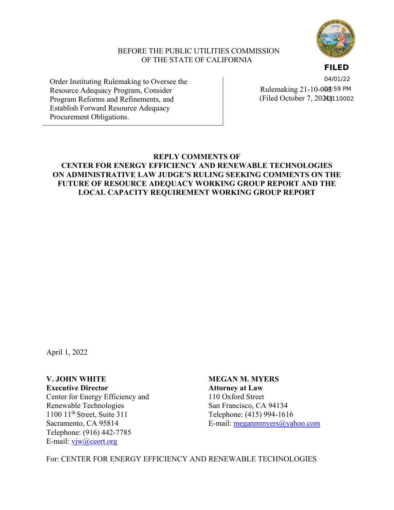

### BEFORE THE PUBLIC UTILITIES COMMISSION OF THE STATE OF CALIFORNIA

**FILED**

Order Instituting Rulemaking to Oversee the Resource Adequacy Program, Consider Program Reforms and Refinements, and Establish Forward Resource Adequacy Procurement Obligations.

Rulemaking 21-10-0**02**:59 PM (Filed October 7, 2021) R211000204/01/22

# **REPLY COMMENTS OF CENTER FOR ENERGY EFFICIENCY AND RENEWABLE TECHNOLOGIES ON ADMINISTRATIVE LAW JUDGE'S RULING SEEKING COMMENTS ON THE FUTURE OF RESOURCE ADEQUACY WORKING GROUP REPORT AND THE LOCAL CAPACITY REQUIREMENT WORKING GROUP REPORT**

April 1, 2022

Center for Energy Efficiency and 110 Oxford Street Renewable Technologies San Francisco, CA 94134<br>1100 11<sup>th</sup> Street, Suite 311 Telephone: (415) 994-161 Telephone: (916) 442-7785 E-mail: [vjw@ceert.org](mailto:vjw@ceert.org)

**V. JOHN WHITE MEGAN M. MYERS Executive Director Attorney at Law** Telephone: (415) 994-1616 Sacramento, CA 95814 E-mail: [meganmmyers@yahoo.com](mailto:meganmmyers@yahoo.com)

For: CENTER FOR ENERGY EFFICIENCY AND RENEWABLE TECHNOLOGIES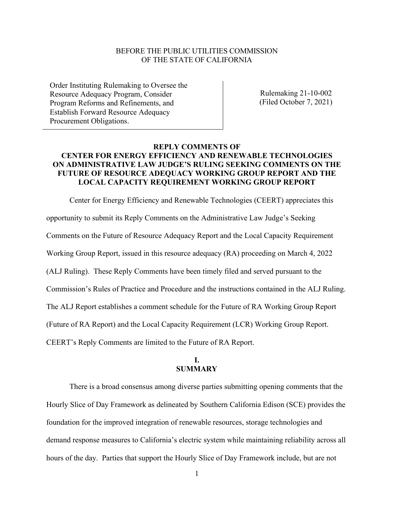### BEFORE THE PUBLIC UTILITIES COMMISSION OF THE STATE OF CALIFORNIA

Order Instituting Rulemaking to Oversee the Resource Adequacy Program, Consider Program Reforms and Refinements, and Establish Forward Resource Adequacy Procurement Obligations.

Rulemaking 21-10-002 (Filed October 7, 2021)

### **REPLY COMMENTS OF CENTER FOR ENERGY EFFICIENCY AND RENEWABLE TECHNOLOGIES ON ADMINISTRATIVE LAW JUDGE'S RULING SEEKING COMMENTS ON THE FUTURE OF RESOURCE ADEQUACY WORKING GROUP REPORT AND THE LOCAL CAPACITY REQUIREMENT WORKING GROUP REPORT**

Center for Energy Efficiency and Renewable Technologies (CEERT) appreciates this opportunity to submit its Reply Comments on the Administrative Law Judge's Seeking Comments on the Future of Resource Adequacy Report and the Local Capacity Requirement Working Group Report, issued in this resource adequacy (RA) proceeding on March 4, 2022 (ALJ Ruling). These Reply Comments have been timely filed and served pursuant to the Commission's Rules of Practice and Procedure and the instructions contained in the ALJ Ruling. The ALJ Report establishes a comment schedule for the Future of RA Working Group Report (Future of RA Report) and the Local Capacity Requirement (LCR) Working Group Report. CEERT's Reply Comments are limited to the Future of RA Report.

### **I. SUMMARY**

There is a broad consensus among diverse parties submitting opening comments that the Hourly Slice of Day Framework as delineated by Southern California Edison (SCE) provides the foundation for the improved integration of renewable resources, storage technologies and demand response measures to California's electric system while maintaining reliability across all hours of the day. Parties that support the Hourly Slice of Day Framework include, but are not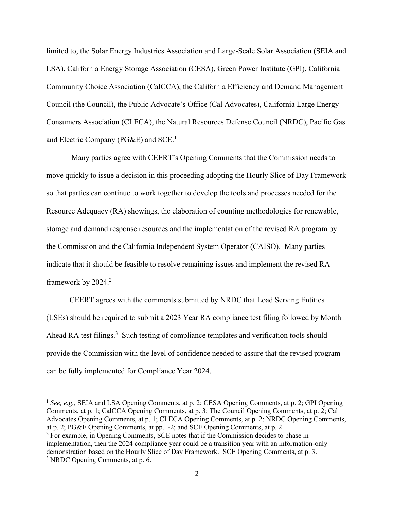limited to, the Solar Energy Industries Association and Large-Scale Solar Association (SEIA and LSA), California Energy Storage Association (CESA), Green Power Institute (GPI), California Community Choice Association (CalCCA), the California Efficiency and Demand Management Council (the Council), the Public Advocate's Office (Cal Advocates), California Large Energy Consumers Association (CLECA), the Natural Resources Defense Council (NRDC), Pacific Gas and Electric Company ( $PG&E$ ) and  $SCE<sup>1</sup>$ .

Many parties agree with CEERT's Opening Comments that the Commission needs to move quickly to issue a decision in this proceeding adopting the Hourly Slice of Day Framework so that parties can continue to work together to develop the tools and processes needed for the Resource Adequacy (RA) showings, the elaboration of counting methodologies for renewable, storage and demand response resources and the implementation of the revised RA program by the Commission and the California Independent System Operator (CAISO). Many parties indicate that it should be feasible to resolve remaining issues and implement the revised RA framework by 2024.<sup>2</sup>

CEERT agrees with the comments submitted by NRDC that Load Serving Entities (LSEs) should be required to submit a 2023 Year RA compliance test filing followed by Month Ahead RA test filings.<sup>3</sup> Such testing of compliance templates and verification tools should provide the Commission with the level of confidence needed to assure that the revised program can be fully implemented for Compliance Year 2024.

<sup>&</sup>lt;sup>1</sup> See, e.g., SEIA and LSA Opening Comments, at p. 2; CESA Opening Comments, at p. 2; GPI Opening Comments, at p. 1; CalCCA Opening Comments, at p. 3; The Council Opening Comments, at p. 2; Cal Advocates Opening Comments, at p. 1; CLECA Opening Comments, at p. 2; NRDC Opening Comments, at p. 2; PG&E Opening Comments, at pp.1-2; and SCE Opening Comments, at p. 2. <sup>2</sup> For example, in Opening Comments, SCE notes that if the Commission decides to phase in

implementation, then the 2024 compliance year could be a transition year with an information-only demonstration based on the Hourly Slice of Day Framework. SCE Opening Comments, at p. 3. <sup>3</sup> NRDC Opening Comments, at p. 6.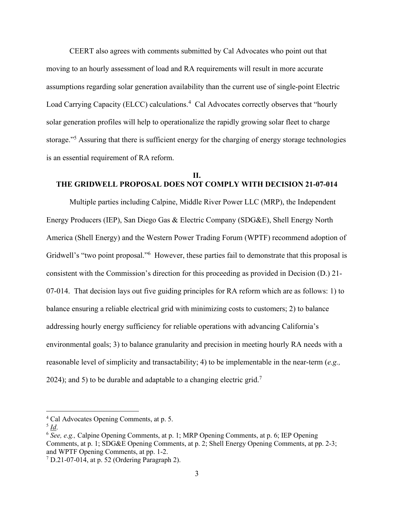CEERT also agrees with comments submitted by Cal Advocates who point out that moving to an hourly assessment of load and RA requirements will result in more accurate assumptions regarding solar generation availability than the current use of single-point Electric Load Carrying Capacity (ELCC) calculations.<sup>4</sup> Cal Advocates correctly observes that "hourly solar generation profiles will help to operationalize the rapidly growing solar fleet to charge storage."<sup>5</sup> Assuring that there is sufficient energy for the charging of energy storage technologies is an essential requirement of RA reform.

#### **II. THE GRIDWELL PROPOSAL DOES NOT COMPLY WITH DECISION 21-07-014**

Multiple parties including Calpine, Middle River Power LLC (MRP), the Independent Energy Producers (IEP), San Diego Gas & Electric Company (SDG&E), Shell Energy North America (Shell Energy) and the Western Power Trading Forum (WPTF) recommend adoption of Gridwell's "two point proposal."<sup>6</sup> However, these parties fail to demonstrate that this proposal is consistent with the Commission's direction for this proceeding as provided in Decision (D.) 21- 07-014. That decision lays out five guiding principles for RA reform which are as follows: 1) to balance ensuring a reliable electrical grid with minimizing costs to customers; 2) to balance addressing hourly energy sufficiency for reliable operations with advancing California's environmental goals; 3) to balance granularity and precision in meeting hourly RA needs with a reasonable level of simplicity and transactability; 4) to be implementable in the near-term (*e.g.,* 2024); and 5) to be durable and adaptable to a changing electric grid.<sup>7</sup>

<sup>4</sup> Cal Advocates Opening Comments, at p. 5.

<sup>5</sup> *Id*.

<sup>6</sup> *See, e.g.,* Calpine Opening Comments, at p. 1; MRP Opening Comments, at p. 6; IEP Opening Comments, at p. 1; SDG&E Opening Comments, at p. 2; Shell Energy Opening Comments, at pp. 2-3; and WPTF Opening Comments, at pp. 1-2.

 $7$  D.21-07-014, at p. 52 (Ordering Paragraph 2).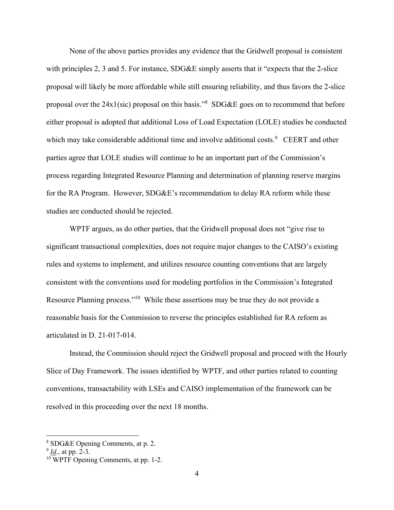None of the above parties provides any evidence that the Gridwell proposal is consistent with principles 2, 3 and 5. For instance, SDG&E simply asserts that it "expects that the 2-slice" proposal will likely be more affordable while still ensuring reliability, and thus favors the 2-slice proposal over the 24x1(sic) proposal on this basis."<sup>8</sup> SDG&E goes on to recommend that before either proposal is adopted that additional Loss of Load Expectation (LOLE) studies be conducted which may take considerable additional time and involve additional costs.<sup>9</sup> CEERT and other parties agree that LOLE studies will continue to be an important part of the Commission's process regarding Integrated Resource Planning and determination of planning reserve margins for the RA Program. However, SDG&E's recommendation to delay RA reform while these studies are conducted should be rejected.

WPTF argues, as do other parties, that the Gridwell proposal does not "give rise to significant transactional complexities, does not require major changes to the CAISO's existing rules and systems to implement, and utilizes resource counting conventions that are largely consistent with the conventions used for modeling portfolios in the Commission's Integrated Resource Planning process."<sup>10</sup> While these assertions may be true they do not provide a reasonable basis for the Commission to reverse the principles established for RA reform as articulated in D. 21-017-014.

Instead, the Commission should reject the Gridwell proposal and proceed with the Hourly Slice of Day Framework. The issues identified by WPTF, and other parties related to counting conventions, transactability with LSEs and CAISO implementation of the framework can be resolved in this proceeding over the next 18 months.

<sup>8</sup> SDG&E Opening Comments, at p. 2.

<sup>9</sup> *Id*., at pp. 2-3.

<sup>&</sup>lt;sup>10</sup> WPTF Opening Comments, at pp. 1-2.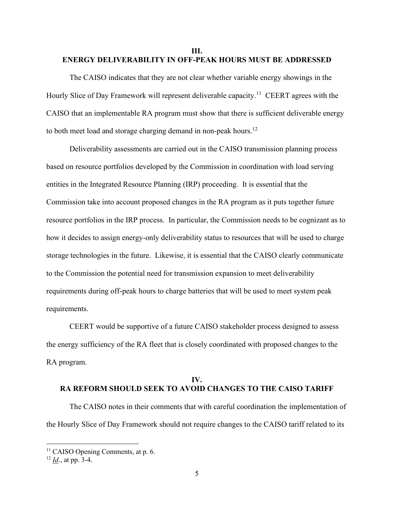### **III. ENERGY DELIVERABILITY IN OFF-PEAK HOURS MUST BE ADDRESSED**

The CAISO indicates that they are not clear whether variable energy showings in the Hourly Slice of Day Framework will represent deliverable capacity.<sup>11</sup> CEERT agrees with the CAISO that an implementable RA program must show that there is sufficient deliverable energy to both meet load and storage charging demand in non-peak hours.<sup>12</sup>

Deliverability assessments are carried out in the CAISO transmission planning process based on resource portfolios developed by the Commission in coordination with load serving entities in the Integrated Resource Planning (IRP) proceeding. It is essential that the Commission take into account proposed changes in the RA program as it puts together future resource portfolios in the IRP process. In particular, the Commission needs to be cognizant as to how it decides to assign energy-only deliverability status to resources that will be used to charge storage technologies in the future. Likewise, it is essential that the CAISO clearly communicate to the Commission the potential need for transmission expansion to meet deliverability requirements during off-peak hours to charge batteries that will be used to meet system peak requirements.

CEERT would be supportive of a future CAISO stakeholder process designed to assess the energy sufficiency of the RA fleet that is closely coordinated with proposed changes to the RA program.

### **IV. RA REFORM SHOULD SEEK TO AVOID CHANGES TO THE CAISO TARIFF**

The CAISO notes in their comments that with careful coordination the implementation of the Hourly Slice of Day Framework should not require changes to the CAISO tariff related to its

<sup>&</sup>lt;sup>11</sup> CAISO Opening Comments, at p. 6.

<sup>12</sup> *Id*., at pp. 3-4.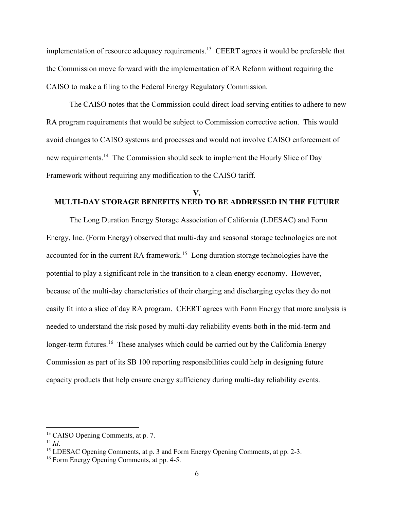implementation of resource adequacy requirements.<sup>13</sup> CEERT agrees it would be preferable that the Commission move forward with the implementation of RA Reform without requiring the CAISO to make a filing to the Federal Energy Regulatory Commission.

The CAISO notes that the Commission could direct load serving entities to adhere to new RA program requirements that would be subject to Commission corrective action. This would avoid changes to CAISO systems and processes and would not involve CAISO enforcement of new requirements.<sup>14</sup> The Commission should seek to implement the Hourly Slice of Day Framework without requiring any modification to the CAISO tariff.

## **V. MULTI-DAY STORAGE BENEFITS NEED TO BE ADDRESSED IN THE FUTURE**

The Long Duration Energy Storage Association of California (LDESAC) and Form Energy, Inc. (Form Energy) observed that multi-day and seasonal storage technologies are not accounted for in the current RA framework.<sup>15</sup> Long duration storage technologies have the potential to play a significant role in the transition to a clean energy economy. However, because of the multi-day characteristics of their charging and discharging cycles they do not easily fit into a slice of day RA program. CEERT agrees with Form Energy that more analysis is needed to understand the risk posed by multi-day reliability events both in the mid-term and longer-term futures.<sup>16</sup> These analyses which could be carried out by the California Energy Commission as part of its SB 100 reporting responsibilities could help in designing future capacity products that help ensure energy sufficiency during multi-day reliability events.

<sup>&</sup>lt;sup>13</sup> CAISO Opening Comments, at p. 7.

<sup>14</sup> *Id*.

<sup>&</sup>lt;sup>15</sup> LDESAC Opening Comments, at p. 3 and Form Energy Opening Comments, at pp. 2-3.

<sup>&</sup>lt;sup>16</sup> Form Energy Opening Comments, at pp. 4-5.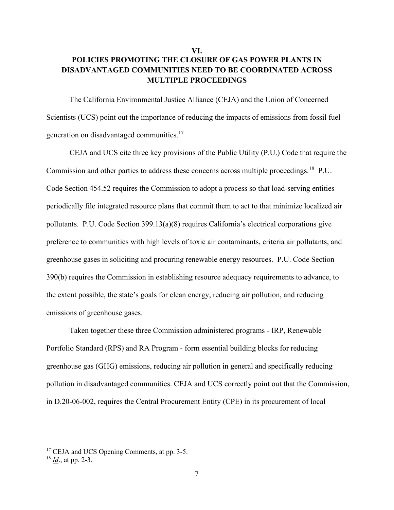# **VI. POLICIES PROMOTING THE CLOSURE OF GAS POWER PLANTS IN DISADVANTAGED COMMUNITIES NEED TO BE COORDINATED ACROSS MULTIPLE PROCEEDINGS**

The California Environmental Justice Alliance (CEJA) and the Union of Concerned Scientists (UCS) point out the importance of reducing the impacts of emissions from fossil fuel generation on disadvantaged communities.<sup>17</sup>

CEJA and UCS cite three key provisions of the Public Utility (P.U.) Code that require the Commission and other parties to address these concerns across multiple proceedings.<sup>18</sup> P.U. Code Section 454.52 requires the Commission to adopt a process so that load-serving entities periodically file integrated resource plans that commit them to act to that minimize localized air pollutants. P.U. Code Section 399.13(a)(8) requires California's electrical corporations give preference to communities with high levels of toxic air contaminants, criteria air pollutants, and greenhouse gases in soliciting and procuring renewable energy resources. P.U. Code Section 390(b) requires the Commission in establishing resource adequacy requirements to advance, to the extent possible, the state's goals for clean energy, reducing air pollution, and reducing emissions of greenhouse gases.

Taken together these three Commission administered programs - IRP, Renewable Portfolio Standard (RPS) and RA Program - form essential building blocks for reducing greenhouse gas (GHG) emissions, reducing air pollution in general and specifically reducing pollution in disadvantaged communities. CEJA and UCS correctly point out that the Commission, in D.20-06-002, requires the Central Procurement Entity (CPE) in its procurement of local

<sup>&</sup>lt;sup>17</sup> CEJA and UCS Opening Comments, at pp. 3-5.

<sup>18</sup> *Id*., at pp. 2-3.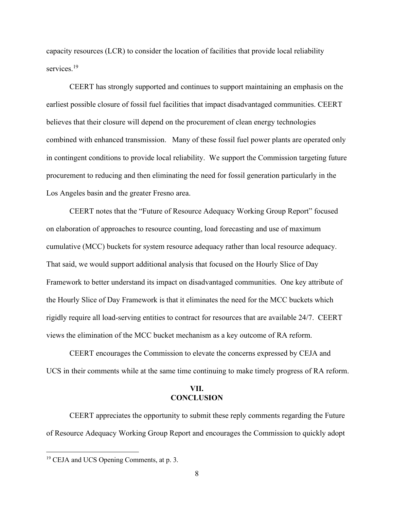capacity resources (LCR) to consider the location of facilities that provide local reliability services.<sup>19</sup>

CEERT has strongly supported and continues to support maintaining an emphasis on the earliest possible closure of fossil fuel facilities that impact disadvantaged communities. CEERT believes that their closure will depend on the procurement of clean energy technologies combined with enhanced transmission. Many of these fossil fuel power plants are operated only in contingent conditions to provide local reliability. We support the Commission targeting future procurement to reducing and then eliminating the need for fossil generation particularly in the Los Angeles basin and the greater Fresno area.

CEERT notes that the "Future of Resource Adequacy Working Group Report" focused on elaboration of approaches to resource counting, load forecasting and use of maximum cumulative (MCC) buckets for system resource adequacy rather than local resource adequacy. That said, we would support additional analysis that focused on the Hourly Slice of Day Framework to better understand its impact on disadvantaged communities. One key attribute of the Hourly Slice of Day Framework is that it eliminates the need for the MCC buckets which rigidly require all load-serving entities to contract for resources that are available 24/7. CEERT views the elimination of the MCC bucket mechanism as a key outcome of RA reform.

CEERT encourages the Commission to elevate the concerns expressed by CEJA and UCS in their comments while at the same time continuing to make timely progress of RA reform.

#### **VII. CONCLUSION**

CEERT appreciates the opportunity to submit these reply comments regarding the Future of Resource Adequacy Working Group Report and encourages the Commission to quickly adopt

<sup>&</sup>lt;sup>19</sup> CEJA and UCS Opening Comments, at p. 3.